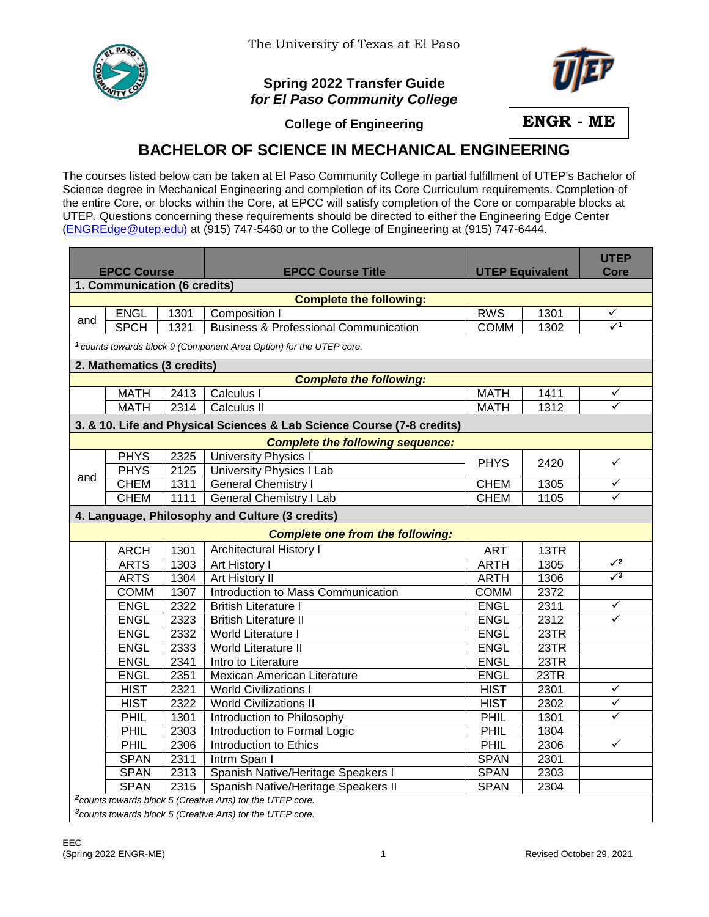

## **Spring 2022 Transfer Guide** *for El Paso Community College*



**College of Engineering**

**ENGR - ME**

## **BACHELOR OF SCIENCE IN MECHANICAL ENGINEERING**

The courses listed below can be taken at El Paso Community College in partial fulfillment of UTEP's Bachelor of Science degree in Mechanical Engineering and completion of its Core Curriculum requirements. Completion of the entire Core, or blocks within the Core, at EPCC will satisfy completion of the Core or comparable blocks at UTEP. Questions concerning these requirements should be directed to either the Engineering Edge Center [\(ENGREdge@utep.edu\)](mailto:ENGREdge@utep.edu) at (915) 747-5460 or to the College of Engineering at (915) 747-6444.

|                                                                                |             |      |                                                  | <b>UTEP Equivalent</b> |      | <b>UTEP</b>     |  |  |  |  |  |
|--------------------------------------------------------------------------------|-------------|------|--------------------------------------------------|------------------------|------|-----------------|--|--|--|--|--|
| <b>EPCC Course</b>                                                             |             |      | <b>EPCC Course Title</b>                         |                        |      | <b>Core</b>     |  |  |  |  |  |
| 1. Communication (6 credits)                                                   |             |      |                                                  |                        |      |                 |  |  |  |  |  |
|                                                                                |             |      | <b>Complete the following:</b>                   |                        |      |                 |  |  |  |  |  |
| and                                                                            | <b>ENGL</b> | 1301 | Composition I                                    | <b>RWS</b>             | 1301 | ✓<br>$\sqrt{1}$ |  |  |  |  |  |
|                                                                                | <b>SPCH</b> | 1321 | <b>Business &amp; Professional Communication</b> | <b>COMM</b>            | 1302 |                 |  |  |  |  |  |
| <sup>1</sup> counts towards block 9 (Component Area Option) for the UTEP core. |             |      |                                                  |                        |      |                 |  |  |  |  |  |
| 2. Mathematics (3 credits)                                                     |             |      |                                                  |                        |      |                 |  |  |  |  |  |
| <b>Complete the following:</b>                                                 |             |      |                                                  |                        |      |                 |  |  |  |  |  |
|                                                                                | <b>MATH</b> | 2413 | Calculus I                                       | <b>MATH</b>            | 1411 | ✓               |  |  |  |  |  |
|                                                                                | <b>MATH</b> | 2314 | Calculus II                                      | <b>MATH</b>            | 1312 | $\checkmark$    |  |  |  |  |  |
| 3. & 10. Life and Physical Sciences & Lab Science Course (7-8 credits)         |             |      |                                                  |                        |      |                 |  |  |  |  |  |
| <b>Complete the following sequence:</b>                                        |             |      |                                                  |                        |      |                 |  |  |  |  |  |
|                                                                                | <b>PHYS</b> | 2325 | <b>University Physics I</b>                      | <b>PHYS</b>            | 2420 | $\checkmark$    |  |  |  |  |  |
|                                                                                | <b>PHYS</b> | 2125 | <b>University Physics I Lab</b>                  |                        |      |                 |  |  |  |  |  |
| and                                                                            | <b>CHEM</b> | 1311 | <b>General Chemistry I</b>                       | <b>CHEM</b>            | 1305 | ✓               |  |  |  |  |  |
|                                                                                | <b>CHEM</b> | 1111 | <b>General Chemistry I Lab</b>                   | <b>CHEM</b>            | 1105 | ✓               |  |  |  |  |  |
|                                                                                |             |      | 4. Language, Philosophy and Culture (3 credits)  |                        |      |                 |  |  |  |  |  |
| <b>Complete one from the following:</b>                                        |             |      |                                                  |                        |      |                 |  |  |  |  |  |
|                                                                                | <b>ARCH</b> | 1301 | Architectural History I                          | <b>ART</b>             | 13TR |                 |  |  |  |  |  |
|                                                                                | <b>ARTS</b> | 1303 | Art History I                                    | <b>ARTH</b>            | 1305 | $\sqrt{2}$      |  |  |  |  |  |
|                                                                                | <b>ARTS</b> | 1304 | Art History II                                   | <b>ARTH</b>            | 1306 | $\sqrt{3}$      |  |  |  |  |  |
|                                                                                | <b>COMM</b> | 1307 | Introduction to Mass Communication               | <b>COMM</b>            | 2372 |                 |  |  |  |  |  |
|                                                                                | <b>ENGL</b> | 2322 | <b>British Literature I</b>                      | <b>ENGL</b>            | 2311 | ✓               |  |  |  |  |  |
|                                                                                | <b>ENGL</b> | 2323 | British Literature II                            | <b>ENGL</b>            | 2312 | ✓               |  |  |  |  |  |
|                                                                                | <b>ENGL</b> | 2332 | World Literature I                               | <b>ENGL</b>            | 23TR |                 |  |  |  |  |  |
|                                                                                | <b>ENGL</b> | 2333 | <b>World Literature II</b>                       | <b>ENGL</b>            | 23TR |                 |  |  |  |  |  |
|                                                                                | <b>ENGL</b> | 2341 | Intro to Literature                              | <b>ENGL</b>            | 23TR |                 |  |  |  |  |  |
|                                                                                | <b>ENGL</b> | 2351 | Mexican American Literature                      | <b>ENGL</b>            | 23TR |                 |  |  |  |  |  |
|                                                                                | <b>HIST</b> | 2321 | <b>World Civilizations I</b>                     | <b>HIST</b>            | 2301 | ✓               |  |  |  |  |  |
|                                                                                | <b>HIST</b> | 2322 | <b>World Civilizations II</b>                    | <b>HIST</b>            | 2302 | ✓               |  |  |  |  |  |
|                                                                                | PHIL        | 1301 | Introduction to Philosophy                       | PHIL                   | 1301 | ✓               |  |  |  |  |  |
|                                                                                | PHIL        | 2303 | Introduction to Formal Logic                     | PHIL                   | 1304 |                 |  |  |  |  |  |
|                                                                                | PHIL        | 2306 | Introduction to Ethics                           | PHIL                   | 2306 | ✓               |  |  |  |  |  |
|                                                                                | <b>SPAN</b> | 2311 | Intrm Span I                                     | <b>SPAN</b>            | 2301 |                 |  |  |  |  |  |
|                                                                                | <b>SPAN</b> | 2313 | Spanish Native/Heritage Speakers I               | <b>SPAN</b>            | 2303 |                 |  |  |  |  |  |
|                                                                                | <b>SPAN</b> | 2315 | Spanish Native/Heritage Speakers II              | <b>SPAN</b>            | 2304 |                 |  |  |  |  |  |
| <sup>2</sup> counts towards block 5 (Creative Arts) for the UTEP core.         |             |      |                                                  |                        |      |                 |  |  |  |  |  |
| <sup>3</sup> counts towards block 5 (Creative Arts) for the UTEP core.         |             |      |                                                  |                        |      |                 |  |  |  |  |  |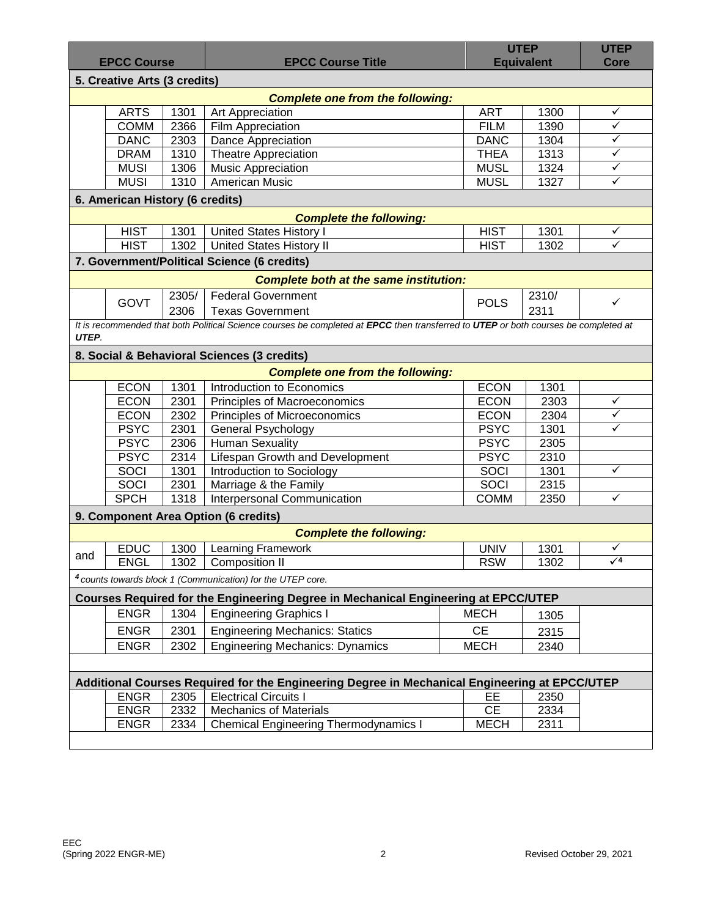| <b>EPCC Course</b>                                                                            |             |       | <b>EPCC Course Title</b>                                                                                                            |             | <b>UTEP</b><br><b>Equivalent</b> |              |  |  |  |  |  |
|-----------------------------------------------------------------------------------------------|-------------|-------|-------------------------------------------------------------------------------------------------------------------------------------|-------------|----------------------------------|--------------|--|--|--|--|--|
| 5. Creative Arts (3 credits)                                                                  |             |       |                                                                                                                                     |             |                                  |              |  |  |  |  |  |
|                                                                                               |             |       | <b>Complete one from the following:</b>                                                                                             |             |                                  |              |  |  |  |  |  |
|                                                                                               | <b>ARTS</b> | 1301  | Art Appreciation                                                                                                                    | <b>ART</b>  | 1300                             | ✓            |  |  |  |  |  |
|                                                                                               | <b>COMM</b> | 2366  | Film Appreciation                                                                                                                   | <b>FILM</b> | 1390                             | ✓            |  |  |  |  |  |
|                                                                                               | <b>DANC</b> | 2303  | Dance Appreciation                                                                                                                  | <b>DANC</b> | 1304                             | $\checkmark$ |  |  |  |  |  |
|                                                                                               | <b>DRAM</b> | 1310  | <b>Theatre Appreciation</b>                                                                                                         | <b>THEA</b> | 1313                             | ✓            |  |  |  |  |  |
|                                                                                               | <b>MUSI</b> | 1306  | <b>Music Appreciation</b>                                                                                                           | <b>MUSL</b> | 1324                             | $\checkmark$ |  |  |  |  |  |
|                                                                                               | <b>MUSI</b> | 1310  | <b>American Music</b>                                                                                                               | <b>MUSL</b> | 1327                             | ✓            |  |  |  |  |  |
| 6. American History (6 credits)                                                               |             |       |                                                                                                                                     |             |                                  |              |  |  |  |  |  |
| <b>Complete the following:</b>                                                                |             |       |                                                                                                                                     |             |                                  |              |  |  |  |  |  |
|                                                                                               | <b>HIST</b> | 1301  | <b>United States History I</b>                                                                                                      | <b>HIST</b> | 1301                             | ✓            |  |  |  |  |  |
|                                                                                               | <b>HIST</b> | 1302  | <b>United States History II</b>                                                                                                     | <b>HIST</b> | 1302                             | $\checkmark$ |  |  |  |  |  |
|                                                                                               |             |       | 7. Government/Political Science (6 credits)                                                                                         |             |                                  |              |  |  |  |  |  |
| <b>Complete both at the same institution:</b>                                                 |             |       |                                                                                                                                     |             |                                  |              |  |  |  |  |  |
|                                                                                               |             | 2305/ | <b>Federal Government</b>                                                                                                           |             | 2310/                            |              |  |  |  |  |  |
|                                                                                               | <b>GOVT</b> | 2306  | <b>Texas Government</b>                                                                                                             | <b>POLS</b> | 2311                             | ✓            |  |  |  |  |  |
|                                                                                               |             |       | It is recommended that both Political Science courses be completed at EPCC then transferred to UTEP or both courses be completed at |             |                                  |              |  |  |  |  |  |
| UTEP.                                                                                         |             |       |                                                                                                                                     |             |                                  |              |  |  |  |  |  |
|                                                                                               |             |       | 8. Social & Behavioral Sciences (3 credits)                                                                                         |             |                                  |              |  |  |  |  |  |
|                                                                                               |             |       | <b>Complete one from the following:</b>                                                                                             |             |                                  |              |  |  |  |  |  |
|                                                                                               | <b>ECON</b> | 1301  | Introduction to Economics                                                                                                           | <b>ECON</b> | 1301                             |              |  |  |  |  |  |
|                                                                                               | <b>ECON</b> | 2301  | Principles of Macroeconomics                                                                                                        | <b>ECON</b> | 2303                             | ✓            |  |  |  |  |  |
|                                                                                               | <b>ECON</b> | 2302  | Principles of Microeconomics                                                                                                        | <b>ECON</b> | 2304                             | $\checkmark$ |  |  |  |  |  |
|                                                                                               | <b>PSYC</b> | 2301  | General Psychology                                                                                                                  | <b>PSYC</b> | 1301                             | ✓            |  |  |  |  |  |
|                                                                                               | <b>PSYC</b> | 2306  | <b>Human Sexuality</b>                                                                                                              | <b>PSYC</b> | 2305                             |              |  |  |  |  |  |
|                                                                                               | <b>PSYC</b> | 2314  | Lifespan Growth and Development                                                                                                     | <b>PSYC</b> | 2310                             |              |  |  |  |  |  |
|                                                                                               | SOCI        | 1301  | <b>Introduction to Sociology</b>                                                                                                    | SOCI        | 1301                             | ✓            |  |  |  |  |  |
|                                                                                               | <b>SOCI</b> | 2301  | Marriage & the Family                                                                                                               | SOCI        | 2315                             |              |  |  |  |  |  |
|                                                                                               | <b>SPCH</b> | 1318  | <b>Interpersonal Communication</b>                                                                                                  | <b>COMM</b> | 2350                             | ✓            |  |  |  |  |  |
|                                                                                               |             |       | 9. Component Area Option (6 credits)                                                                                                |             |                                  |              |  |  |  |  |  |
|                                                                                               |             |       | <b>Complete the following:</b>                                                                                                      |             |                                  |              |  |  |  |  |  |
|                                                                                               | <b>EDUC</b> | 1300  | Learning Framework                                                                                                                  | <b>UNIV</b> | 1301                             | ✓            |  |  |  |  |  |
| and                                                                                           | <b>ENGL</b> | 1302  | <b>Composition II</b>                                                                                                               | <b>RSW</b>  | 1302                             | $\sqrt{4}$   |  |  |  |  |  |
|                                                                                               |             |       | <sup>4</sup> counts towards block 1 (Communication) for the UTEP core.                                                              |             |                                  |              |  |  |  |  |  |
|                                                                                               |             |       | Courses Required for the Engineering Degree in Mechanical Engineering at EPCC/UTEP                                                  |             |                                  |              |  |  |  |  |  |
|                                                                                               | <b>ENGR</b> | 1304  | <b>Engineering Graphics I</b>                                                                                                       | <b>MECH</b> |                                  |              |  |  |  |  |  |
|                                                                                               |             |       | <b>Engineering Mechanics: Statics</b>                                                                                               | <b>CE</b>   | 1305                             |              |  |  |  |  |  |
|                                                                                               | <b>ENGR</b> | 2301  |                                                                                                                                     |             | 2315                             |              |  |  |  |  |  |
|                                                                                               | <b>ENGR</b> | 2302  | <b>Engineering Mechanics: Dynamics</b>                                                                                              | <b>MECH</b> | 2340                             |              |  |  |  |  |  |
|                                                                                               |             |       |                                                                                                                                     |             |                                  |              |  |  |  |  |  |
| Additional Courses Required for the Engineering Degree in Mechanical Engineering at EPCC/UTEP |             |       |                                                                                                                                     |             |                                  |              |  |  |  |  |  |
|                                                                                               | <b>ENGR</b> | 2305  | <b>Electrical Circuits I</b>                                                                                                        | EE.         | 2350                             |              |  |  |  |  |  |
|                                                                                               | <b>ENGR</b> | 2332  | <b>Mechanics of Materials</b>                                                                                                       | <b>CE</b>   | 2334                             |              |  |  |  |  |  |
|                                                                                               | <b>ENGR</b> | 2334  | <b>Chemical Engineering Thermodynamics I</b>                                                                                        | <b>MECH</b> | 2311                             |              |  |  |  |  |  |
|                                                                                               |             |       |                                                                                                                                     |             |                                  |              |  |  |  |  |  |